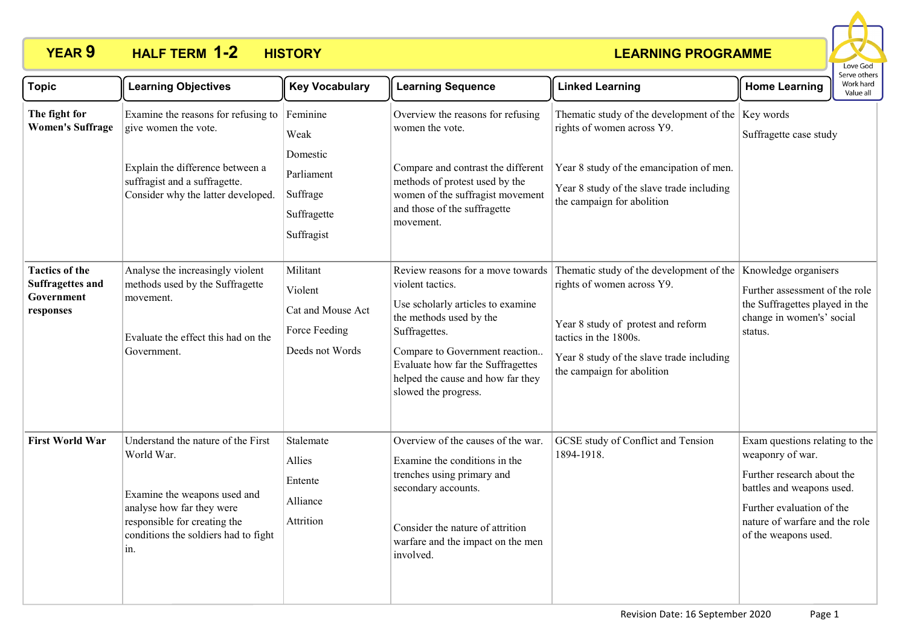# **YEAR 9 HALF TERM HISTORY 1-2**



| <b>Topic</b>                                                                | <b>Learning Objectives</b>                                                                                                                                                                   | <b>Key Vocabulary</b>                                                        | <b>Learning Sequence</b>                                                                                                                                                                                                                                                   | <b>Linked Learning</b>                                                                                                                                                                                           | <b>Home Learning</b>                                                                                                                                                                                 | Serve others<br>Work hard<br>Value all |
|-----------------------------------------------------------------------------|----------------------------------------------------------------------------------------------------------------------------------------------------------------------------------------------|------------------------------------------------------------------------------|----------------------------------------------------------------------------------------------------------------------------------------------------------------------------------------------------------------------------------------------------------------------------|------------------------------------------------------------------------------------------------------------------------------------------------------------------------------------------------------------------|------------------------------------------------------------------------------------------------------------------------------------------------------------------------------------------------------|----------------------------------------|
| The fight for<br><b>Women's Suffrage</b>                                    | Examine the reasons for refusing to<br>give women the vote.                                                                                                                                  | Feminine<br>Weak<br>Domestic                                                 | Overview the reasons for refusing<br>women the vote.                                                                                                                                                                                                                       | Thematic study of the development of the Key words<br>rights of women across Y9.                                                                                                                                 | Suffragette case study                                                                                                                                                                               |                                        |
|                                                                             | Explain the difference between a<br>suffragist and a suffragette.<br>Consider why the latter developed.                                                                                      | Parliament<br>Suffrage<br>Suffragette<br>Suffragist                          | Compare and contrast the different<br>methods of protest used by the<br>women of the suffragist movement<br>and those of the suffragette<br>movement.                                                                                                                      | Year 8 study of the emancipation of men.<br>Year 8 study of the slave trade including<br>the campaign for abolition                                                                                              |                                                                                                                                                                                                      |                                        |
| <b>Tactics of the</b><br><b>Suffragettes and</b><br>Government<br>responses | Analyse the increasingly violent<br>methods used by the Suffragette<br>movement.<br>Evaluate the effect this had on the<br>Government.                                                       | Militant<br>Violent<br>Cat and Mouse Act<br>Force Feeding<br>Deeds not Words | Review reasons for a move towards<br>violent tactics.<br>Use scholarly articles to examine<br>the methods used by the<br>Suffragettes.<br>Compare to Government reaction<br>Evaluate how far the Suffragettes<br>helped the cause and how far they<br>slowed the progress. | Thematic study of the development of the<br>rights of women across Y9.<br>Year 8 study of protest and reform<br>tactics in the 1800s.<br>Year 8 study of the slave trade including<br>the campaign for abolition | Knowledge organisers<br>Further assessment of the role<br>the Suffragettes played in the<br>change in women's' social<br>status.                                                                     |                                        |
| <b>First World War</b>                                                      | Understand the nature of the First<br>World War.<br>Examine the weapons used and<br>analyse how far they were<br>responsible for creating the<br>conditions the soldiers had to fight<br>in. | Stalemate<br>Allies<br>Entente<br>Alliance<br>Attrition                      | Overview of the causes of the war.<br>Examine the conditions in the<br>trenches using primary and<br>secondary accounts.<br>Consider the nature of attrition<br>warfare and the impact on the men<br>involved.                                                             | GCSE study of Conflict and Tension<br>1894-1918.                                                                                                                                                                 | Exam questions relating to the<br>weaponry of war.<br>Further research about the<br>battles and weapons used.<br>Further evaluation of the<br>nature of warfare and the role<br>of the weapons used. |                                        |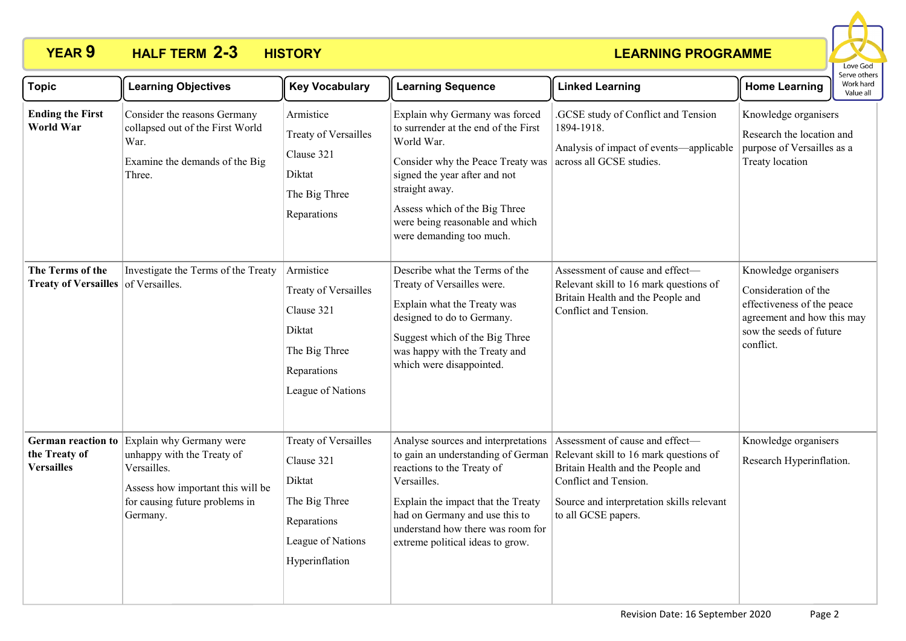# **YEAR 9 HALF TERM HISTORY 2-3**



| <b>Topic</b>                                                    | <b>Learning Objectives</b>                                                                                                                               | <b>Key Vocabulary</b>                                                                                               | <b>Learning Sequence</b>                                                                                                                                                                                                                                                     | <b>Linked Learning</b>                                                                                                                                                                                      | <b>Home Learning</b>                                                                                                                             | כו אב חיוובו א<br>Work hard<br>Value all |
|-----------------------------------------------------------------|----------------------------------------------------------------------------------------------------------------------------------------------------------|---------------------------------------------------------------------------------------------------------------------|------------------------------------------------------------------------------------------------------------------------------------------------------------------------------------------------------------------------------------------------------------------------------|-------------------------------------------------------------------------------------------------------------------------------------------------------------------------------------------------------------|--------------------------------------------------------------------------------------------------------------------------------------------------|------------------------------------------|
| <b>Ending the First</b><br><b>World War</b>                     | Consider the reasons Germany<br>collapsed out of the First World<br>War.<br>Examine the demands of the Big<br>Three.                                     | Armistice<br>Treaty of Versailles<br>Clause 321<br>Diktat<br>The Big Three<br>Reparations                           | Explain why Germany was forced<br>to surrender at the end of the First<br>World War.<br>Consider why the Peace Treaty was<br>signed the year after and not<br>straight away.<br>Assess which of the Big Three<br>were being reasonable and which<br>were demanding too much. | .GCSE study of Conflict and Tension<br>1894-1918.<br>Analysis of impact of events—applicable<br>across all GCSE studies.                                                                                    | Knowledge organisers<br>Research the location and<br>purpose of Versailles as a<br>Treaty location                                               |                                          |
| The Terms of the<br>Treaty of Versailles of Versailles.         | Investigate the Terms of the Treaty                                                                                                                      | Armistice<br>Treaty of Versailles<br>Clause 321<br>Diktat<br>The Big Three<br>Reparations<br>League of Nations      | Describe what the Terms of the<br>Treaty of Versailles were.<br>Explain what the Treaty was<br>designed to do to Germany.<br>Suggest which of the Big Three<br>was happy with the Treaty and<br>which were disappointed.                                                     | Assessment of cause and effect-<br>Relevant skill to 16 mark questions of<br>Britain Health and the People and<br>Conflict and Tension.                                                                     | Knowledge organisers<br>Consideration of the<br>effectiveness of the peace<br>agreement and how this may<br>sow the seeds of future<br>conflict. |                                          |
| <b>German reaction to</b><br>the Treaty of<br><b>Versailles</b> | Explain why Germany were<br>unhappy with the Treaty of<br>Versailles.<br>Assess how important this will be<br>for causing future problems in<br>Germany. | Treaty of Versailles<br>Clause 321<br>Diktat<br>The Big Three<br>Reparations<br>League of Nations<br>Hyperinflation | Analyse sources and interpretations Assessment of cause and effect—<br>reactions to the Treaty of<br>Versailles.<br>Explain the impact that the Treaty<br>had on Germany and use this to<br>understand how there was room for<br>extreme political ideas to grow.            | to gain an understanding of German Relevant skill to 16 mark questions of<br>Britain Health and the People and<br>Conflict and Tension.<br>Source and interpretation skills relevant<br>to all GCSE papers. | Knowledge organisers<br>Research Hyperinflation.                                                                                                 |                                          |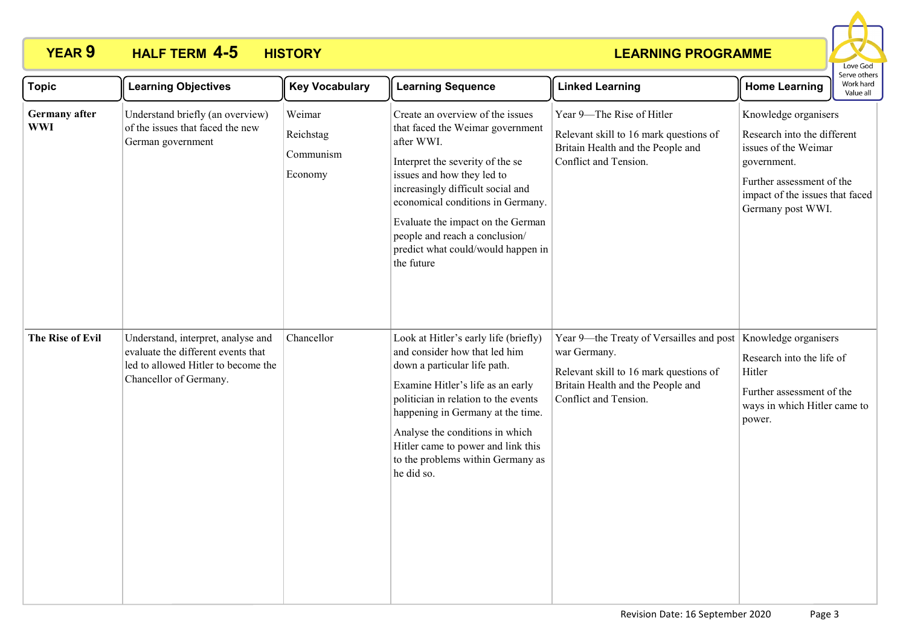# **YEAR 9 HALF TERM HISTORY 4-5**



| <b>Topic</b>                       | <b>Learning Objectives</b>                                                                                                                | <b>Key Vocabulary</b>                       | <b>Learning Sequence</b>                                                                                                                                                                                                                                                                                                                                  | <b>Linked Learning</b>                                                                                                                                           | Serve others<br>Work hard<br><b>Home Learning</b><br>Value all                                                                                                                  |  |
|------------------------------------|-------------------------------------------------------------------------------------------------------------------------------------------|---------------------------------------------|-----------------------------------------------------------------------------------------------------------------------------------------------------------------------------------------------------------------------------------------------------------------------------------------------------------------------------------------------------------|------------------------------------------------------------------------------------------------------------------------------------------------------------------|---------------------------------------------------------------------------------------------------------------------------------------------------------------------------------|--|
| <b>Germany</b> after<br><b>WWI</b> | Understand briefly (an overview)<br>of the issues that faced the new<br>German government                                                 | Weimar<br>Reichstag<br>Communism<br>Economy | Create an overview of the issues<br>that faced the Weimar government<br>after WWI.<br>Interpret the severity of the se<br>issues and how they led to<br>increasingly difficult social and<br>economical conditions in Germany.<br>Evaluate the impact on the German<br>people and reach a conclusion/<br>predict what could/would happen in<br>the future | Year 9-The Rise of Hitler<br>Relevant skill to 16 mark questions of<br>Britain Health and the People and<br>Conflict and Tension.                                | Knowledge organisers<br>Research into the different<br>issues of the Weimar<br>government.<br>Further assessment of the<br>impact of the issues that faced<br>Germany post WWI. |  |
| The Rise of Evil                   | Understand, interpret, analyse and<br>evaluate the different events that<br>led to allowed Hitler to become the<br>Chancellor of Germany. | Chancellor                                  | Look at Hitler's early life (briefly)<br>and consider how that led him<br>down a particular life path.<br>Examine Hitler's life as an early<br>politician in relation to the events<br>happening in Germany at the time.<br>Analyse the conditions in which<br>Hitler came to power and link this<br>to the problems within Germany as<br>he did so.      | Year 9—the Treaty of Versailles and post<br>war Germany.<br>Relevant skill to 16 mark questions of<br>Britain Health and the People and<br>Conflict and Tension. | Knowledge organisers<br>Research into the life of<br>Hitler<br>Further assessment of the<br>ways in which Hitler came to<br>power.                                              |  |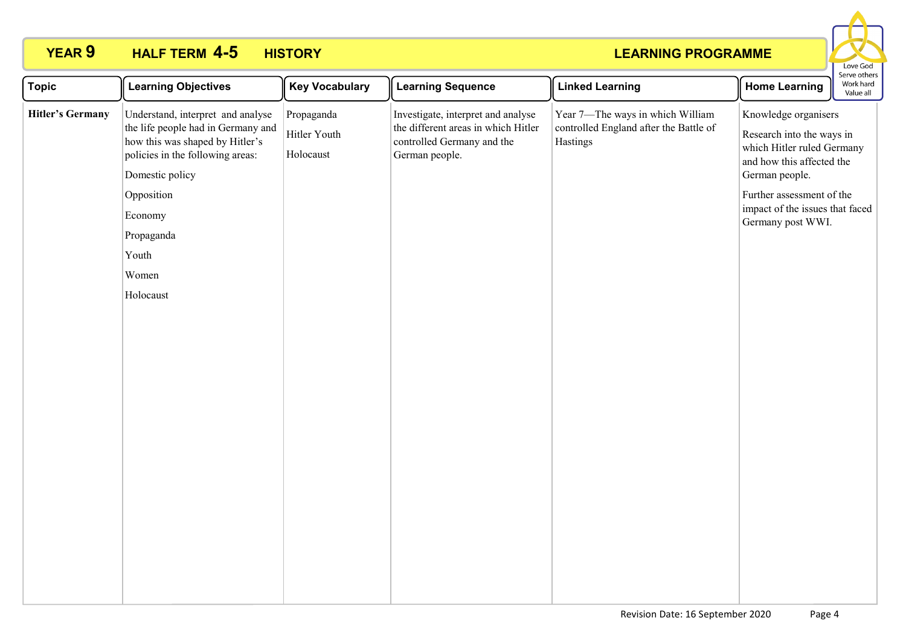# **YEAR 9 HALF TERM HISTORY 4-5**



| <b>Topic</b><br><b>Learning Objectives</b>                                                                                                                                                                                                                         | <b>Key Vocabulary</b>                   | <b>Learning Sequence</b>                                                                                                  | <b>Linked Learning</b>                                                                 | <b>Home Learning</b>                                                                                                                                                                                                | Work hard<br>Value all |
|--------------------------------------------------------------------------------------------------------------------------------------------------------------------------------------------------------------------------------------------------------------------|-----------------------------------------|---------------------------------------------------------------------------------------------------------------------------|----------------------------------------------------------------------------------------|---------------------------------------------------------------------------------------------------------------------------------------------------------------------------------------------------------------------|------------------------|
| <b>Hitler's Germany</b><br>Understand, interpret and analyse<br>the life people had in Germany and<br>how this was shaped by Hitler's<br>policies in the following areas:<br>Domestic policy<br>Opposition<br>Economy<br>Propaganda<br>Youth<br>Women<br>Holocaust | Propaganda<br>Hitler Youth<br>Holocaust | Investigate, interpret and analyse<br>the different areas in which Hitler<br>controlled Germany and the<br>German people. | Year 7-The ways in which William<br>controlled England after the Battle of<br>Hastings | Knowledge organisers<br>Research into the ways in<br>which Hitler ruled Germany<br>and how this affected the<br>German people.<br>Further assessment of the<br>impact of the issues that faced<br>Germany post WWI. |                        |
|                                                                                                                                                                                                                                                                    |                                         |                                                                                                                           |                                                                                        |                                                                                                                                                                                                                     |                        |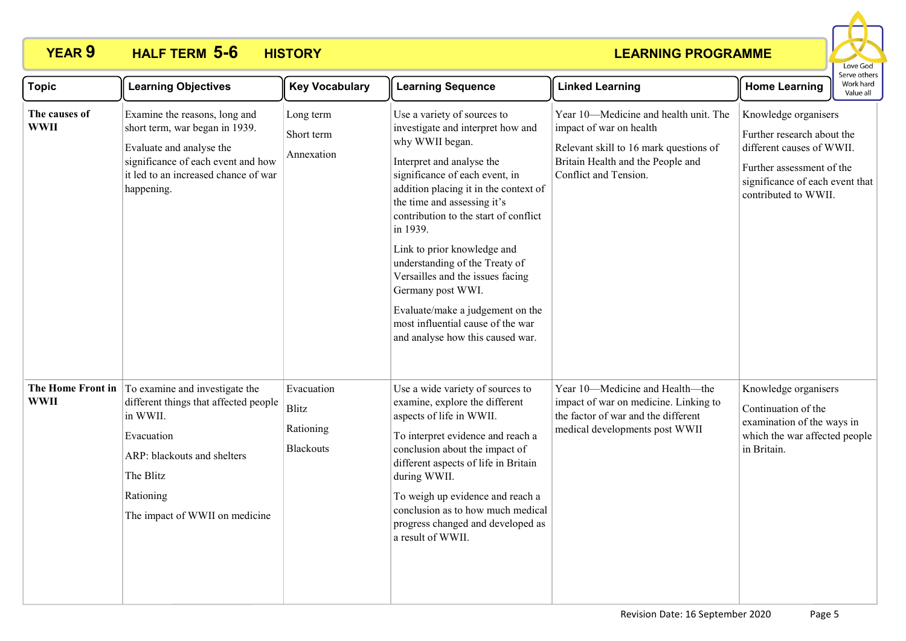# **YEAR 9 HALF TERM HISTORY 5-6**



| <b>Topic</b>                 | <b>Learning Objectives</b>                                                                                                                                                                                     | <b>Key Vocabulary</b>                                       | <b>Learning Sequence</b>                                                                                                                                                                                                                                                                                                                                                                                                                                                                                               | <b>Linked Learning</b>                                                                                                                                                   | Serve others<br>Work hard<br><b>Home Learning</b><br>Value all                                                                                                          |
|------------------------------|----------------------------------------------------------------------------------------------------------------------------------------------------------------------------------------------------------------|-------------------------------------------------------------|------------------------------------------------------------------------------------------------------------------------------------------------------------------------------------------------------------------------------------------------------------------------------------------------------------------------------------------------------------------------------------------------------------------------------------------------------------------------------------------------------------------------|--------------------------------------------------------------------------------------------------------------------------------------------------------------------------|-------------------------------------------------------------------------------------------------------------------------------------------------------------------------|
| The causes of<br><b>WWII</b> | Examine the reasons, long and<br>short term, war began in 1939.<br>Evaluate and analyse the<br>significance of each event and how<br>it led to an increased chance of war<br>happening.                        | Long term<br>Short term<br>Annexation                       | Use a variety of sources to<br>investigate and interpret how and<br>why WWII began.<br>Interpret and analyse the<br>significance of each event, in<br>addition placing it in the context of<br>the time and assessing it's<br>contribution to the start of conflict<br>in 1939.<br>Link to prior knowledge and<br>understanding of the Treaty of<br>Versailles and the issues facing<br>Germany post WWI.<br>Evaluate/make a judgement on the<br>most influential cause of the war<br>and analyse how this caused war. | Year 10-Medicine and health unit. The<br>impact of war on health<br>Relevant skill to 16 mark questions of<br>Britain Health and the People and<br>Conflict and Tension. | Knowledge organisers<br>Further research about the<br>different causes of WWII.<br>Further assessment of the<br>significance of each event that<br>contributed to WWII. |
| <b>WWII</b>                  | The Home Front in To examine and investigate the<br>different things that affected people<br>in WWII.<br>Evacuation<br>ARP: blackouts and shelters<br>The Blitz<br>Rationing<br>The impact of WWII on medicine | Evacuation<br><b>Blitz</b><br>Rationing<br><b>Blackouts</b> | Use a wide variety of sources to<br>examine, explore the different<br>aspects of life in WWII.<br>To interpret evidence and reach a<br>conclusion about the impact of<br>different aspects of life in Britain<br>during WWII.<br>To weigh up evidence and reach a<br>conclusion as to how much medical<br>progress changed and developed as<br>a result of WWII.                                                                                                                                                       | Year 10-Medicine and Health-the<br>impact of war on medicine. Linking to<br>the factor of war and the different<br>medical developments post WWII                        | Knowledge organisers<br>Continuation of the<br>examination of the ways in<br>which the war affected people<br>in Britain.                                               |